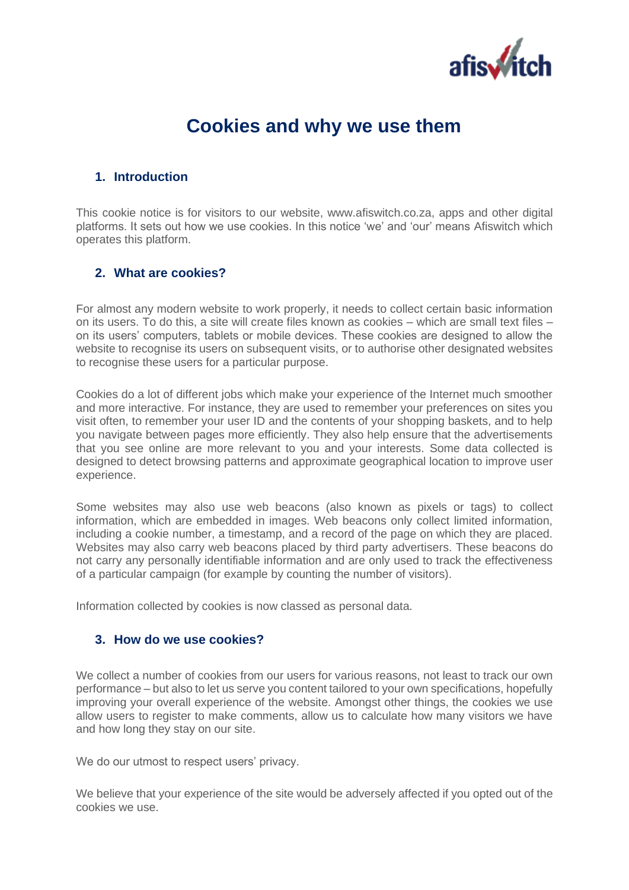

# **Cookies and why we use them**

## **1. Introduction**

This cookie notice is for visitors to our website, www.afiswitch.co.za, apps and other digital platforms. It sets out how we use cookies. In this notice 'we' and 'our' means Afiswitch which operates this platform.

## **2. What are cookies?**

For almost any modern website to work properly, it needs to collect certain basic information on its users. To do this, a site will create files known as cookies – which are small text files – on its users' computers, tablets or mobile devices. These cookies are designed to allow the website to recognise its users on subsequent visits, or to authorise other designated websites to recognise these users for a particular purpose.

Cookies do a lot of different jobs which make your experience of the Internet much smoother and more interactive. For instance, they are used to remember your preferences on sites you visit often, to remember your user ID and the contents of your shopping baskets, and to help you navigate between pages more efficiently. They also help ensure that the advertisements that you see online are more relevant to you and your interests. Some data collected is designed to detect browsing patterns and approximate geographical location to improve user experience.

Some websites may also use web beacons (also known as pixels or tags) to collect information, which are embedded in images. Web beacons only collect limited information, including a cookie number, a timestamp, and a record of the page on which they are placed. Websites may also carry web beacons placed by third party advertisers. These beacons do not carry any personally identifiable information and are only used to track the effectiveness of a particular campaign (for example by counting the number of visitors).

Information collected by cookies is now classed as personal data.

#### **3. How do we use cookies?**

We collect a number of cookies from our users for various reasons, not least to track our own performance – but also to let us serve you content tailored to your own specifications, hopefully improving your overall experience of the website. Amongst other things, the cookies we use allow users to register to make comments, allow us to calculate how many visitors we have and how long they stay on our site.

We do our utmost to respect users' privacy.

We believe that your experience of the site would be adversely affected if you opted out of the cookies we use.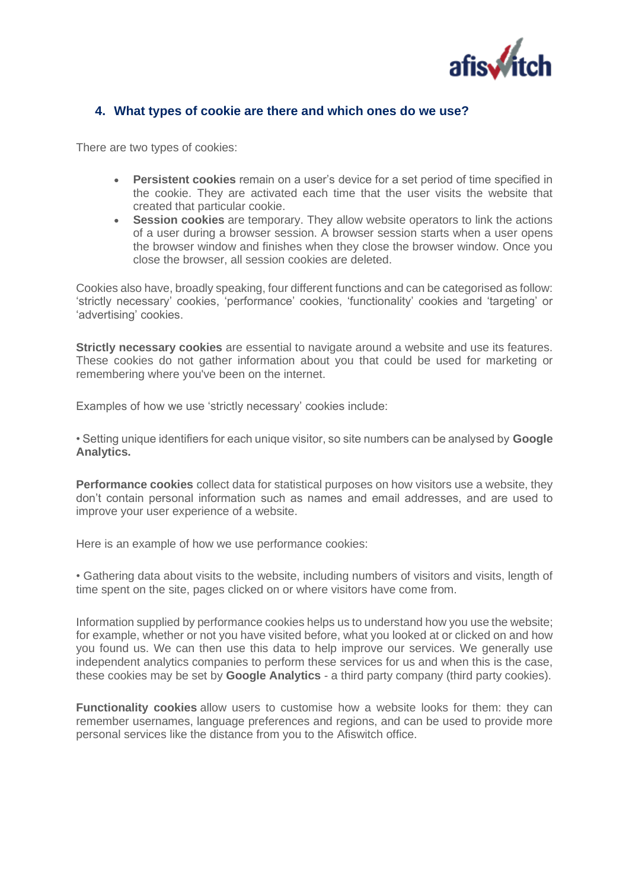

#### **4. What types of cookie are there and which ones do we use?**

There are two types of cookies:

- **Persistent cookies** remain on a user's device for a set period of time specified in the cookie. They are activated each time that the user visits the website that created that particular cookie.
- **Session cookies** are temporary. They allow website operators to link the actions of a user during a browser session. A browser session starts when a user opens the browser window and finishes when they close the browser window. Once you close the browser, all session cookies are deleted.

Cookies also have, broadly speaking, four different functions and can be categorised as follow: 'strictly necessary' cookies, 'performance' cookies, 'functionality' cookies and 'targeting' or 'advertising' cookies.

**Strictly necessary cookies** are essential to navigate around a website and use its features. These cookies do not gather information about you that could be used for marketing or remembering where you've been on the internet.

Examples of how we use 'strictly necessary' cookies include:

• Setting unique identifiers for each unique visitor, so site numbers can be analysed by **Google Analytics.**

**Performance cookies** collect data for statistical purposes on how visitors use a website, they don't contain personal information such as names and email addresses, and are used to improve your user experience of a website.

Here is an example of how we use performance cookies:

• Gathering data about visits to the website, including numbers of visitors and visits, length of time spent on the site, pages clicked on or where visitors have come from.

Information supplied by performance cookies helps us to understand how you use the website; for example, whether or not you have visited before, what you looked at or clicked on and how you found us. We can then use this data to help improve our services. We generally use independent analytics companies to perform these services for us and when this is the case, these cookies may be set by **Google Analytics** - a third party company (third party cookies).

**Functionality cookies** allow users to customise how a website looks for them: they can remember usernames, language preferences and regions, and can be used to provide more personal services like the distance from you to the Afiswitch office.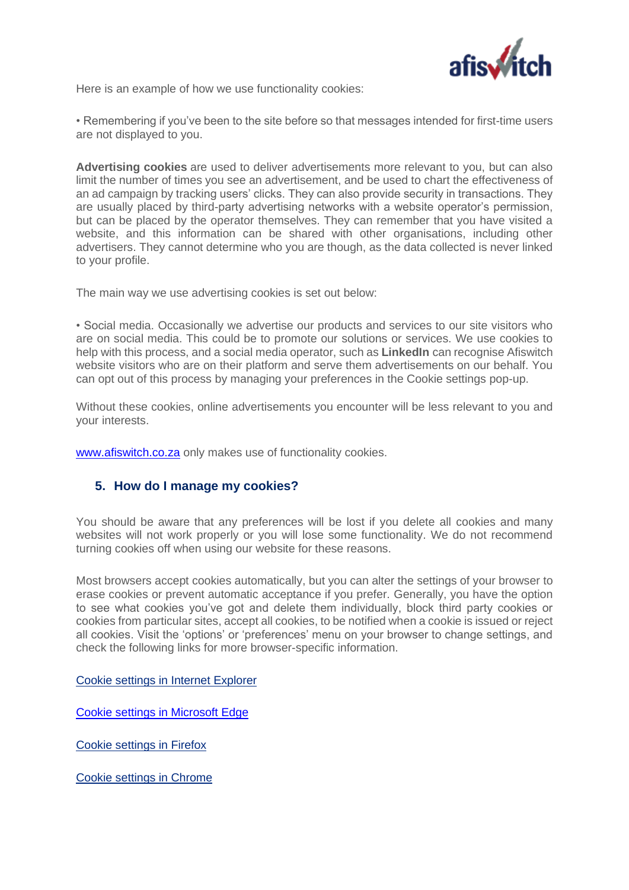

Here is an example of how we use functionality cookies:

• Remembering if you've been to the site before so that messages intended for first-time users are not displayed to you.

**Advertising cookies** are used to deliver advertisements more relevant to you, but can also limit the number of times you see an advertisement, and be used to chart the effectiveness of an ad campaign by tracking users' clicks. They can also provide security in transactions. They are usually placed by third-party advertising networks with a website operator's permission, but can be placed by the operator themselves. They can remember that you have visited a website, and this information can be shared with other organisations, including other advertisers. They cannot determine who you are though, as the data collected is never linked to your profile.

The main way we use advertising cookies is set out below:

• Social media. Occasionally we advertise our products and services to our site visitors who are on social media. This could be to promote our solutions or services. We use cookies to help with this process, and a social media operator, such as **LinkedIn** can recognise Afiswitch website visitors who are on their platform and serve them advertisements on our behalf. You can opt out of this process by managing your preferences in the Cookie settings pop-up.

Without these cookies, online advertisements you encounter will be less relevant to you and your interests.

[www.afiswitch.co.za](http://www.afiswitch.co.za/) only makes use of functionality cookies.

## **5. How do I manage my cookies?**

You should be aware that any preferences will be lost if you delete all cookies and many websites will not work properly or you will lose some functionality. We do not recommend turning cookies off when using our website for these reasons.

Most browsers accept cookies automatically, but you can alter the settings of your browser to erase cookies or prevent automatic acceptance if you prefer. Generally, you have the option to see what cookies you've got and delete them individually, block third party cookies or cookies from particular sites, accept all cookies, to be notified when a cookie is issued or reject all cookies. Visit the 'options' or 'preferences' menu on your browser to change settings, and check the following links for more browser-specific information.

[Cookie settings in Internet Explorer](https://support.microsoft.com/en-us/help/17442/windows-internet-explorer-delete-manage-cookies)

[Cookie settings in Microsoft Edge](https://support.microsoft.com/en-us/microsoft-edge/view-cookies-in-microsoft-edge-a7d95376-f2cd-8e4a-25dc-1de753474879#:~:text=View%20cookies%20in%20Microsoft%20Edge%201%20Open%20Microsoft,to%20view%20all%20cookies%20saved%20on%20your%20device.)

[Cookie settings in Firefox](https://support.mozilla.org/en-US/kb/cookies-information-websites-store-on-your-computer?redirectlocale=en-US&redirectslug=Cookies)

[Cookie settings in Chrome](https://support.google.com/chrome/answer/95647?hl=en)